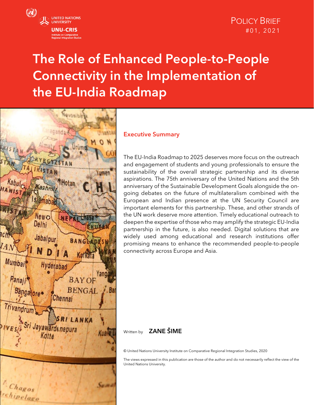

# The Role of Enhanced People-to-People Connectivity in the Implementation of the EU-India Roadmap



#### Executive Summary

The EU-India Roadmap to 2025 deserves more focus on the outreach and engagement of students and young professionals to ensure the sustainability of the overall strategic partnership and its diverse aspirations. The 75th anniversary of the United Nations and the 5th anniversary of the Sustainable Development Goals alongside the ongoing debates on the future of multilateralism combined with the European and Indian presence at the UN Security Council are important elements for this partnership. These, and other strands of the UN work deserve more attention. Timely educational outreach to deepen the expertise of those who may amplify the strategic EU-India partnership in the future, is also needed. Digital solutions that are widely used among educational and research institutions offer promising means to enhance the recommended people-to-people connectivity across Europe and Asia.

### Written by **ZANE ŠIME**

© United Nations University Institute on Comparative Regional Integration Studies, 2020

The views expressed in this publication are those of the author and do not necessarily reflect the view of the United Nations University.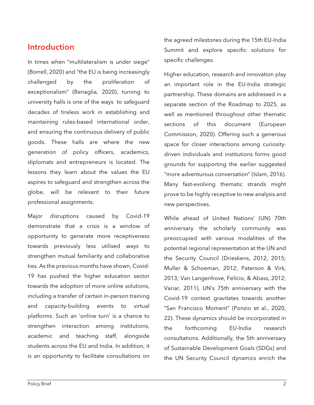## Introduction

In times when "multilateralism is under siege" (Borrell, 2020) and "the EU is being increasingly challenged by the proliferation of exceptionalism" (Benaglia, 2020), turning to university halls is one of the ways to safeguard decades of tireless work in establishing and maintaining rules-based international order, and ensuring the continuous delivery of public goods. These halls are where the new generation of policy officers, academics, diplomats and entrepreneurs is located. The lessons they learn about the values the EU aspires to safeguard and strengthen across the globe, will be relevant to their future professional assignments.

Major disruptions caused by Covid-19 demonstrate that a crisis is a window of opportunity to generate more receptiveness towards previously less utilised ways to strengthen mutual familiarity and collaborative ties. As the previous months have shown, Covid-19 has pushed the higher education sector towards the adoption of more online solutions, including a transfer of certain in-person training and capacity-building events to virtual platforms. Such an 'online turn' is a chance to strengthen interaction among institutions, academic and teaching staff, alongside students across the EU and India. In addition, it is an opportunity to facilitate consultations on the agreed milestones during the 15th EU-India Summit and explore specific solutions for specific challenges.

Higher education, research and innovation play an important role in the EU-India strategic partnership. These domains are addressed in a separate section of the Roadmap to 2025, as well as mentioned throughout other thematic sections of this document (European Commission, 2020). Offering such a generous space for closer interactions among curiositydriven individuals and institutions forms good grounds for supporting the earlier suggested "more adventurous conversation" (Islam, 2016). Many fast-evolving thematic strands might prove to be highly receptive to new analysis and new perspectives.

While ahead of United Nations' (UN) 70th anniversary the scholarly community was preoccupied with various modalities of the potential regional representation at the UN and the Security Council (Drieskens, 2012, 2015; Muller & Schoeman, 2012; Paterson & Virk, 2013; Van Langenhove, Felício, & Abass, 2012; Variar, 2011), UN's 75th anniversary with the Covid-19 context gravitates towards another "San Francisco Moment" (Ponzio et al., 2020, 22). These dynamics should be incorporated in the forthcoming EU-India research consultations. Additionally, the 5th anniversary of Sustainable Development Goals (SDGs) and the UN Security Council dynamics enrich the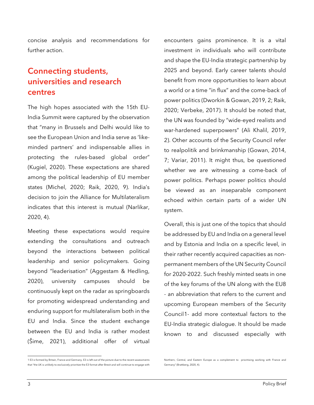concise analysis and recommendations for further action.

# Connecting students, universities and research centres

The high hopes associated with the 15th EU-India Summit were captured by the observation that "many in Brussels and Delhi would like to see the European Union and India serve as 'likeminded partners' and indispensable allies in protecting the rules-based global order" (Kugiel, 2020). These expectations are shared among the political leadership of EU member states (Michel, 2020; Raik, 2020, 9). India's decision to join the Alliance for Multilateralism indicates that this interest is mutual (Narlikar, 2020, 4).

Meeting these expectations would require extending the consultations and outreach beyond the interactions between political leadership and senior policymakers. Going beyond "leaderisation" (Aggestam & Hedling, 2020), university campuses should be continuously kept on the radar as springboards for promoting widespread understanding and enduring support for multilateralism both in the EU and India. Since the student exchange between the EU and India is rather modest (Šime, 2021), additional offer of virtual

<span id="page-2-0"></span>1 E3 is formed by Britain, France and Germany. E3 is left out of the picture due to the recent assessments that "the UK is unlikely to exclusively prioritize the E3 format after Brexit and will continue to engage with encounters gains prominence. It is a vital investment in individuals who will contribute and shape the EU-India strategic partnership by 2025 and beyond. Early career talents should benefit from more opportunities to learn about a world or a time "in flux" and the come-back of power politics (Dworkin & Gowan, 2019, 2; Raik, 2020; Verbeke, 2017). It should be noted that, the UN was founded by "wide-eyed realists and war-hardened superpowers" (Ali Khalil, 2019, 2). Other accounts of the Security Council refer to realpolitik and brinkmanship (Gowan, 2014, 7; Variar, 2011). It might thus, be questioned whether we are witnessing a come-back of power politics. Perhaps power politics should be viewed as an inseparable component echoed within certain parts of a wider UN system.

Overall, this is just one of the topics that should be addressed by EU and India on a general level and by Estonia and India on a specific level, in their rather recently acquired capacities as nonpermanent members of the UN Security Council for 2020-2022. Such freshly minted seats in one of the key forums of the UN along with the EU8 - an abbreviation that refers to the current and upcoming European members of the Security Council[1](#page-2-0)- add more contextual factors to the EU-India strategic dialogue. It should be made known to and discussed especially with

Northern, Central, and Eastern Europe as a complement to prioritising working with France and Germany" (Brattberg, 2020, 4).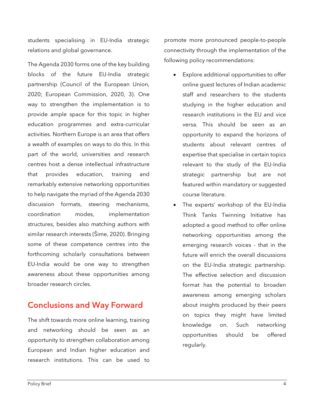students specialising in EU-India strategic relations and global governance.

The Agenda 2030 forms one of the key building blocks of the future EU-India strategic partnership (Council of the European Union, 2020; European Commission, 2020, 3). One way to strengthen the implementation is to provide ample space for this topic in higher education programmes and extra-curricular activities. Northern Europe is an area that offers a wealth of examples on ways to do this. In this part of the world, universities and research centres host a dense intellectual infrastructure that provides education, training and remarkably extensive networking opportunities to help navigate the myriad of the Agenda 2030 discussion formats, steering mechanisms, coordination modes, implementation structures, besides also matching authors with similar research interests (Šime, 2020). Bringing some of these competence centres into the forthcoming scholarly consultations between EU-India would be one way to strengthen awareness about these opportunities among broader research circles.

## Conclusions and Way Forward

The shift towards more online learning, training and networking should be seen as an opportunity to strengthen collaboration among European and Indian higher education and research institutions. This can be used to

promote more pronounced people-to-people connectivity through the implementation of the following policy recommendations:

- Explore additional opportunities to offer online guest lectures of Indian academic staff and researchers to the students studying in the higher education and research institutions in the EU and vice versa. This should be seen as an opportunity to expand the horizons of students about relevant centres of expertise that specialise in certain topics relevant to the study of the EU-India strategic partnership but are not featured within mandatory or suggested course literature.
- The experts' workshop of the EU-India Think Tanks Twinning Initiative has adopted a good method to offer online networking opportunities among the emerging research voices - that in the future will enrich the overall discussions on the EU-India strategic partnership. The effective selection and discussion format has the potential to broaden awareness among emerging scholars about insights produced by their peers on topics they might have limited knowledge on. Such networking opportunities should be offered regularly.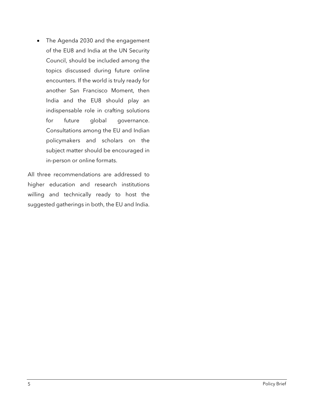• The Agenda 2030 and the engagement of the EU8 and India at the UN Security Council, should be included among the topics discussed during future online encounters. If the world is truly ready for another San Francisco Moment, then India and the EU8 should play an indispensable role in crafting solutions for future global governance. Consultations among the EU and Indian policymakers and scholars on the subject matter should be encouraged in in-person or online formats.

All three recommendations are addressed to higher education and research institutions willing and technically ready to host the suggested gatherings in both, the EU and India.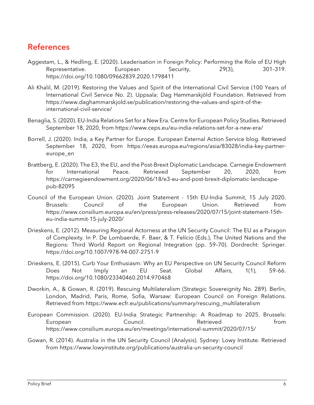# **References**

- Aggestam, L., & Hedling, E. (2020). Leaderisation in Foreign Policy: Performing the Role of EU High Representative. European Security, 29(3), 301–319. https://doi.org/10.1080/09662839.2020.1798411
- Ali Khalil, M. (2019). Restoring the Values and Spirit of the International Civil Service (100 Years of International Civil Service No. 2). Uppsala: Dag Hammarskjöld Foundation. Retrieved from https://www.daghammarskjold.se/publication/restoring-the-values-and-spirit-of-theinternational-civil-service/
- Benaglia, S. (2020). EU-India Relations Set for a New Era. Centre for European Policy Studies. Retrieved September 18, 2020, from https://www.ceps.eu/eu-india-relations-set-for-a-new-era/
- Borrell, J. (2020). India, a Key Partner for Europe. European External Action Service blog. Retrieved September 18, 2020, from https://eeas.europa.eu/regions/asia/83028/india-key-partnereurope\_en
- Brattberg, E. (2020). The E3, the EU, and the Post-Brexit Diplomatic Landscape. Carnegie Endowment for International Peace. Retrieved September 20, 2020, from https://carnegieendowment.org/2020/06/18/e3-eu-and-post-brexit-diplomatic-landscapepub-82095
- Council of the European Union. (2020). Joint Statement 15th EU-India Summit, 15 July 2020. Brussels: Council of the European Union. Retrieved from https://www.consilium.europa.eu/en/press/press-releases/2020/07/15/joint-statement-15theu-india-summit-15-july-2020/
- Drieskens, E. (2012). Measuring Regional Actorness at the UN Security Council: The EU as a Paragon of Complexity. In P. De Lombaerde, F. Baer, & T. Felício (Eds.), The United Nations and the Regions: Third World Report on Regional Integration (pp. 59–70). Dordrecht: Springer. https://doi.org/10.1007/978-94-007-2751-9
- Drieskens, E. (2015). Curb Your Enthusiasm: Why an EU Perspective on UN Security Council Reform Does Not Imply an EU Seat. Global Affairs, 1(1), 59–66. https://doi.org/10.1080/23340460.2014.970468
- Dworkin, A., & Gowan, R. (2019). Rescuing Multilateralism (Strategic Sovereignity No. 289). Berlin, London, Madrid, Paris, Rome, Sofia, Warsaw: European Council on Foreign Relations. Retrieved from https://www.ecfr.eu/publications/summary/rescuing\_multilateralism
- European Commission. (2020). EU-India Strategic Partnership: A Roadmap to 2025. Brussels: European Council. Retrieved from https://www.consilium.europa.eu/en/meetings/international-summit/2020/07/15/
- Gowan, R. (2014). Australia in the UN Security Council (Analysis). Sydney: Lowy Institute. Retrieved from https://www.lowyinstitute.org/publications/australia-un-security-council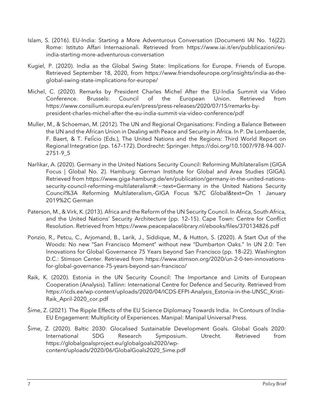- Islam, S. (2016). EU-India: Starting a More Adventurous Conversation (Documenti IAI No. 16|22). Rome: Istituto Affari Internazionali. Retrieved from https://www.iai.it/en/pubblicazioni/euindia-starting-more-adventurous-conversation
- Kugiel, P. (2020). India as the Global Swing State: Implications for Europe. Friends of Europe. Retrieved September 18, 2020, from https://www.friendsofeurope.org/insights/india-as-theglobal-swing-state-implications-for-europe/
- Michel, C. (2020). Remarks by President Charles Michel After the EU-India Summit via Video Conference. Brussels: Council of the European Union. Retrieved from https://www.consilium.europa.eu/en/press/press-releases/2020/07/15/remarks-bypresident-charles-michel-after-the-eu-india-summit-via-video-conference/pdf
- Muller, M., & Schoeman, M. (2012). The UN and Regional Organisations: Finding a Balance Between the UN and the African Union in Dealing with Peace and Security in Africa. In P. De Lombaerde, F. Baert, & T. Felício (Eds.), The United Nations and the Regions: Third World Report on Regional Integration (pp. 167–172). Dordrecht: Springer. https://doi.org/10.1007/978-94-007- 2751-9\_5
- Narlikar, A. (2020). Germany in the United Nations Security Council: Reforming Multilateralism (GIGA Focus | Global No. 2). Hamburg: German Institute for Global and Area Studies (GIGA). Retrieved from https://www.giga-hamburg.de/en/publication/germany-in-the-united-nationssecurity-council-reforming-multilateralism#:~:text=Germany in the United Nations Security Council%3A Reforming Multilateralism,-GIGA Focus %7C Global&text=On 1 January 2019%2C German
- Paterson, M., & Virk, K. (2013). Africa and the Reform of the UN Security Council. In Africa, South Africa, and the United Nations' Security Architecture (pp. 12–15). Cape Town: Centre for Conflict Resolution. Retrieved from https://www.peacepalacelibrary.nl/ebooks/files/370134826.pdf
- Ponzio, R., Petcu, C., Arjomand, B., Larik, J., Siddique, M., & Hutton, S. (2020). A Start Out of the Woods: No new "San Francisco Moment" without new "Dumbarton Oaks." In UN 2.0: Ten Innovations for Global Governance 75 Years beyond San Francisco (pp. 18–22). Washington D.C.: Stimson Center. Retrieved from https://www.stimson.org/2020/un-2-0-ten-innovationsfor-global-governance-75-years-beyond-san-francisco/
- Raik, K. (2020). Estonia in the UN Security Council: The Importance and Limits of European Cooperation (Analysis). Tallinn: International Centre for Defence and Security. Retrieved from https://icds.ee/wp-content/uploads/2020/04/ICDS-EFPI-Analysis\_Estonia-in-the-UNSC\_Kristi-Raik\_April-2020\_cor.pdf
- Šime, Z. (2021). The Ripple Effects of the EU Science Diplomacy Towards India. In Contours of India-EU Engagement: Multiplicity of Experiences. Manipal: Manipal Universal Press.
- Šime, Z. (2020). Baltic 2030: Glocalised Sustainable Development Goals. Global Goals 2020: International SDG Research Symposium. Utrecht. Retrieved from https://globalgoalsproject.eu/globalgoals2020/wpcontent/uploads/2020/06/GlobalGoals2020\_Sime.pdf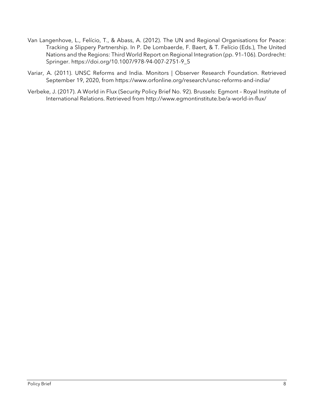- Van Langenhove, L., Felício, T., & Abass, A. (2012). The UN and Regional Organisations for Peace: Tracking a Slippery Partnership. In P. De Lombaerde, F. Baert, & T. Felício (Eds.), The United Nations and the Regions: Third World Report on Regional Integration (pp. 91–106). Dordrecht: Springer. https://doi.org/10.1007/978-94-007-2751-9\_5
- Variar, A. (2011). UNSC Reforms and India. Monitors | Observer Research Foundation. Retrieved September 19, 2020, from https://www.orfonline.org/research/unsc-reforms-and-india/
- Verbeke, J. (2017). A World in Flux (Security Policy Brief No. 92). Brussels: Egmont Royal Institute of International Relations. Retrieved from http://www.egmontinstitute.be/a-world-in-flux/